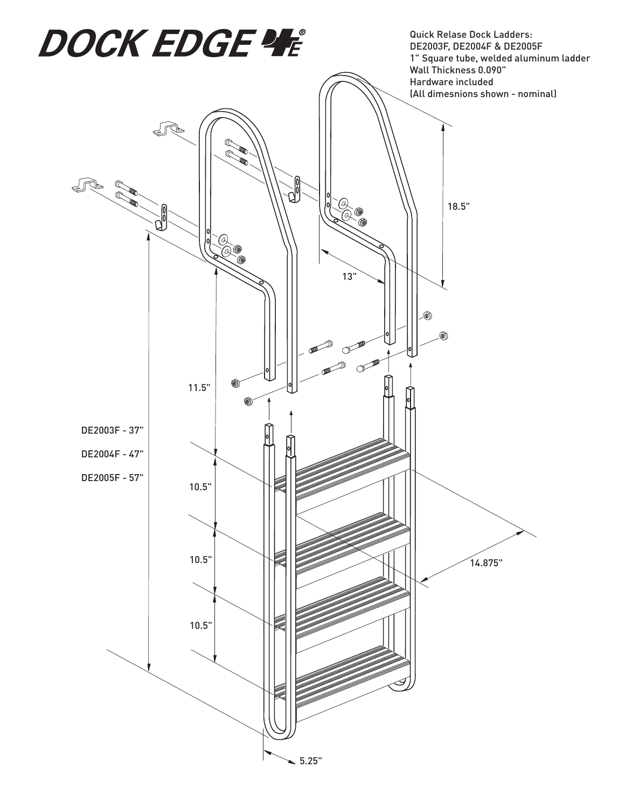